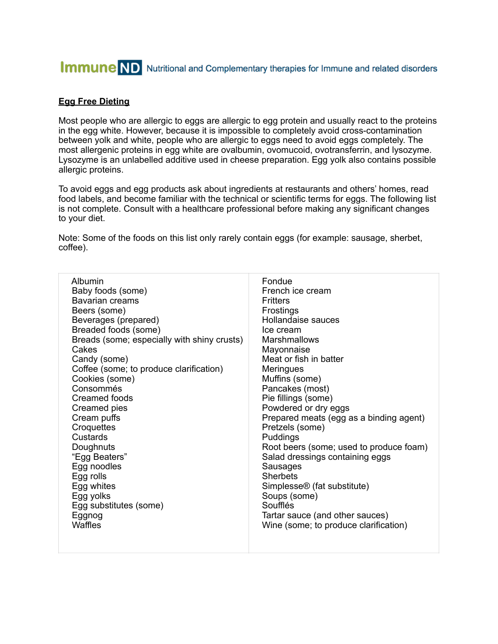# **Immune** ND Nutritional and Complementary therapies for Immune and related disorders

### **Egg Free Dieting**

Most people who are allergic to eggs are allergic to egg protein and usually react to the proteins in the egg white. However, because it is impossible to completely avoid cross-contamination between yolk and white, people who are allergic to eggs need to avoid eggs completely. The most allergenic proteins in egg white are ovalbumin, ovomucoid, ovotransferrin, and lysozyme. Lysozyme is an unlabelled additive used in cheese preparation. Egg yolk also contains possible allergic proteins.

To avoid eggs and egg products ask about ingredients at restaurants and others' homes, read food labels, and become familiar with the technical or scientific terms for eggs. The following list is not complete. Consult with a healthcare professional before making any significant changes to your diet.

Note: Some of the foods on this list only rarely contain eggs (for example: sausage, sherbet, coffee).

| Albumin                                     | Fondue                                  |
|---------------------------------------------|-----------------------------------------|
| Baby foods (some)                           | French ice cream                        |
| Bavarian creams                             | <b>Fritters</b>                         |
| Beers (some)                                | Frostings                               |
| Beverages (prepared)                        | Hollandaise sauces                      |
| Breaded foods (some)                        | Ice cream                               |
| Breads (some; especially with shiny crusts) | Marshmallows                            |
| Cakes                                       | Mayonnaise                              |
| Candy (some)                                | Meat or fish in batter                  |
| Coffee (some; to produce clarification)     | <b>Meringues</b>                        |
| Cookies (some)                              | Muffins (some)                          |
| Consommés                                   | Pancakes (most)                         |
| Creamed foods                               | Pie fillings (some)                     |
| Creamed pies                                | Powdered or dry eggs                    |
| Cream puffs                                 | Prepared meats (egg as a binding agent) |
| Croquettes                                  | Pretzels (some)                         |
| Custards                                    | Puddings                                |
| Doughnuts                                   | Root beers (some; used to produce foam) |
| "Egg Beaters"                               | Salad dressings containing eggs         |
| Egg noodles                                 | Sausages                                |
| Egg rolls                                   | <b>Sherbets</b>                         |
| Egg whites                                  | Simplesse <sup>®</sup> (fat substitute) |
| Egg yolks                                   | Soups (some)                            |
| Egg substitutes (some)                      | Soufflés                                |
| Eggnog                                      | Tartar sauce (and other sauces)         |
| <b>Waffles</b>                              | Wine (some; to produce clarification)   |
|                                             |                                         |